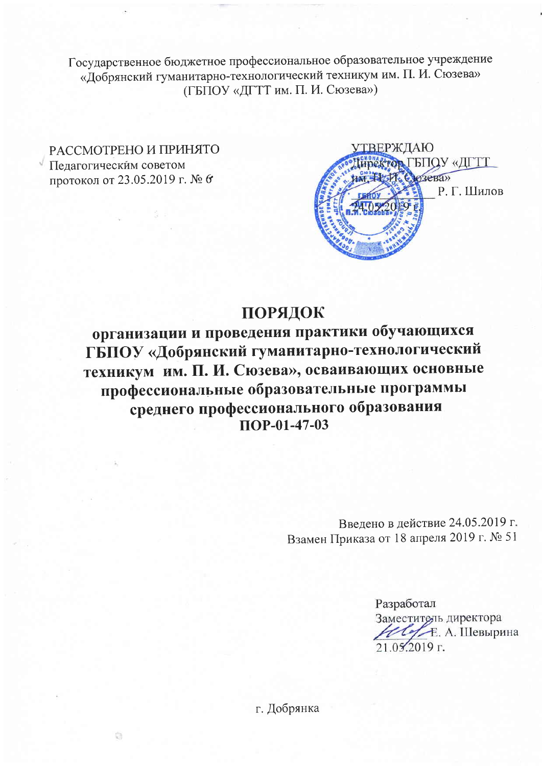Государственное бюджетное профессиональное образовательное учреждение «Добрянский гуманитарно-технологический техникум им. П. И. Сюзева» (ГБПОУ «ДГТТ им. П. И. Сюзева»)

РАССМОТРЕНО И ПРИНЯТО Педагогическим советом протокол от 23.05.2019 г. № 6



## ПОРЯДОК

организации и проведения практики обучающихся ГБПОУ «Добрянский гуманитарно-технологический техникум им. П. И. Сюзева», осваивающих основные профессиональные образовательные программы среднего профессионального образования  $\overline{11}$ OP-01-47-03

> Введено в действие 24.05.2019 г. Взамен Приказа от 18 апреля 2019 г. № 51

> > Разработал Заместитель директора ULLE, A. Шевырина  $21.052019$  r.

г. Добрянка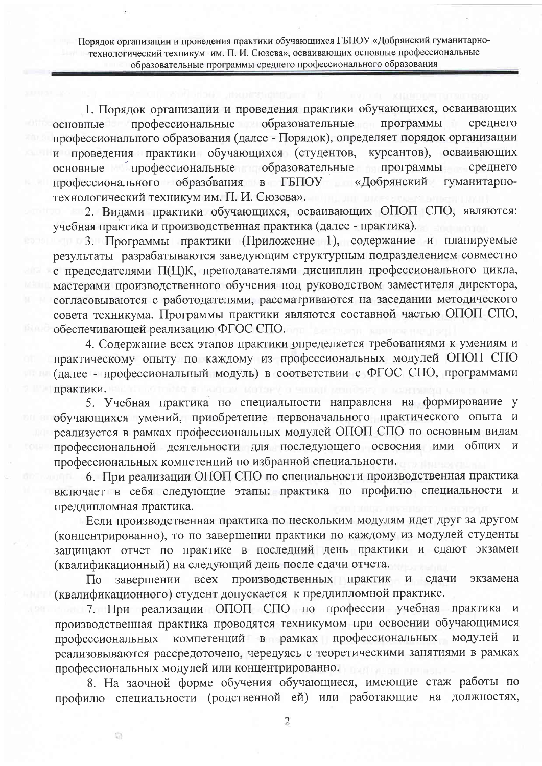Порядок организации и проведения практики обучающихся ГБПОУ «Добрянский гуманитарнотехнологический техникум им. П. И. Сюзева», осваивающих основные профессиональные образовательные программы среднего профессионального образования

1. Порядок организации и проведения практики обучающихся, осваивающих профессиональные образовательные среднего программы основные профессионального образования (далее - Порядок), определяет порядок организации и проведения практики обучающихся (студентов, курсантов), осваивающих основные профессиональные образовательные программы среднего профессионального образования в ГБПОУ «Добрянский гуманитарнотехнологический техникум им. П. И. Сюзева».

2. Видами практики обучающихся, осваивающих ОПОП СПО, являются: учебная практика и производственная практика (далее - практика).

3. Программы практики (Приложение 1), содержание и планируемые результаты разрабатываются заведующим структурным подразделением совместно с председателями П(Ц)К, преподавателями дисциплин профессионального цикла, мастерами производственного обучения под руководством заместителя директора, согласовываются с работодателями, рассматриваются на заседании методического совета техникума. Программы практики являются составной частью ОПОП СПО, обеспечивающей реализацию ФГОС СПО.

4. Содержание всех этапов практики определяется требованиями к умениям и практическому опыту по каждому из профессиональных модулей ОПОП СПО (далее - профессиональный модуль) в соответствии с ФГОС СПО, программами практики.

5. Учебная практика по специальности направлена на формирование у обучающихся умений, приобретение первоначального практического опыта и реализуется в рамках профессиональных модулей ОПОП СПО по основным видам профессиональной деятельности для последующего освоения ими общих и профессиональных компетенций по избранной специальности.

6. При реализации ОПОП СПО по специальности производственная практика включает в себя следующие этапы: практика по профилю специальности и преддипломная практика.

Если производственная практика по нескольким модулям идет друг за другом (концентрированно), то по завершении практики по каждому из модулей студенты защищают отчет по практике в последний день практики и сдают экзамен (квалификационный) на следующий день после сдачи отчета.

завершении всех производственных практик и сдачи  $\Pi$ <sub>o</sub> экзамена (квалификационного) студент допускается к преддипломной практике.

7. При реализации ОПОП СПО по профессии учебная практика  $\mathcal{U}$ производственная практика проводятся техникумом при освоении обучающимися компетенций в рамках профессиональных модулей профессиональных  $\overline{M}$ реализовываются рассредоточено, чередуясь с теоретическими занятиями в рамках профессиональных модулей или концентрированно.

8. На заочной форме обучения обучающиеся, имеющие стаж работы по профилю специальности (родственной ей) или работающие на должностях,

 $\overline{2}$ 

ä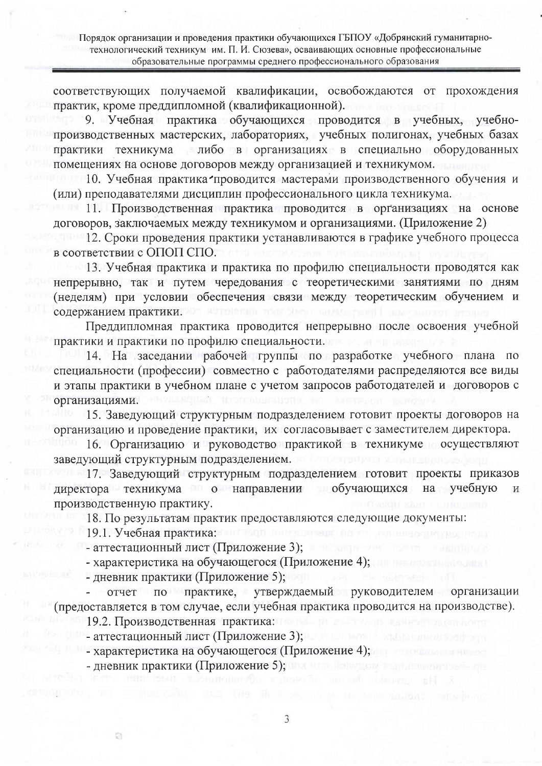Порядок организации и проведения практики обучающихся ГБПОУ «Добрянский гуманитарнотехнологический техникум им. П. И. Сюзева», осваивающих основные профессиональные образовательные программы среднего профессионального образования

соответствующих получаемой квалификации, освобождаются от прохождения практик, кроме преддипломной (квалификационной).

9. Учебная практика обучающихся проводится в учебных, учебнопроизводственных мастерских, лабораториях, учебных полигонах, учебных базах либо в организациях в специально оборудованных практики техникума помещениях на основе договоров между организацией и техникумом.

10. Учебная практика проводится мастерами производственного обучения и (или) преподавателями дисциплин профессионального цикла техникума.

11. Производственная практика проводится в организациях на основе договоров, заключаемых между техникумом и организациями. (Приложение 2)

12. Сроки проведения практики устанавливаются в графике учебного процесса в соответствии с ОПОП СПО.

13. Учебная практика и практика по профилю специальности проводятся как непрерывно, так и путем чередования с теоретическими занятиями по дням (неделям) при условии обеспечения связи между теоретическим обучением и содержанием практики.

Преддипломная практика проводится непрерывно после освоения учебной практики и практики по профилю специальности.

14. На заседании рабочей группы по разработке учебного плана по специальности (профессии) совместно с работодателями распределяются все виды и этапы практики в учебном плане с учетом запросов работодателей и договоров с организациями.

15. Заведующий структурным подразделением готовит проекты договоров на организацию и проведение практики, их согласовывает с заместителем директора.

16. Организацию и руководство практикой в техникуме осуществляют заведующий структурным подразделением.

17. Заведующий структурным подразделением готовит проекты приказов директора техникума о направлении обучающихся на учебную И производственную практику.

18. По результатам практик предоставляются следующие документы:

19.1. Учебная практика:

ō

- аттестационный лист (Приложение 3);

- характеристика на обучающегося (Приложение 4);

- дневник практики (Приложение 5);

по практике, утверждаемый руководителем организации отчет (предоставляется в том случае, если учебная практика проводится на производстве).

19.2. Производственная практика:

- аттестационный лист (Приложение 3);

- характеристика на обучающегося (Приложение 4);

- дневник практики (Приложение 5);